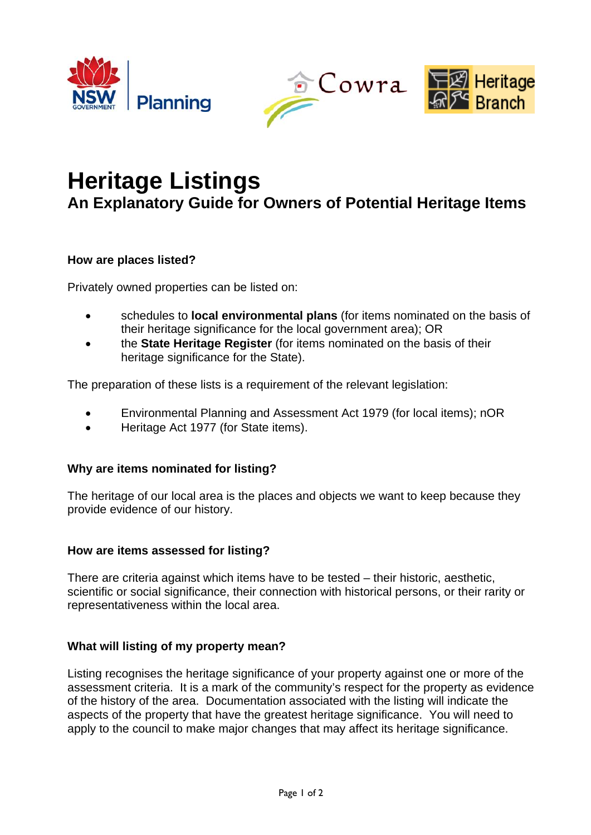





# **Heritage Listings**

**An Explanatory Guide for Owners of Potential Heritage Items** 

## **How are places listed?**

Privately owned properties can be listed on:

- schedules to **local environmental plans** (for items nominated on the basis of their heritage significance for the local government area); OR
- the **State Heritage Register** (for items nominated on the basis of their heritage significance for the State).

The preparation of these lists is a requirement of the relevant legislation:

- Environmental Planning and Assessment Act 1979 (for local items); nOR
- Heritage Act 1977 (for State items).

## **Why are items nominated for listing?**

The heritage of our local area is the places and objects we want to keep because they provide evidence of our history.

### **How are items assessed for listing?**

There are criteria against which items have to be tested – their historic, aesthetic, scientific or social significance, their connection with historical persons, or their rarity or representativeness within the local area.

## **What will listing of my property mean?**

Listing recognises the heritage significance of your property against one or more of the assessment criteria. It is a mark of the community's respect for the property as evidence of the history of the area. Documentation associated with the listing will indicate the aspects of the property that have the greatest heritage significance. You will need to apply to the council to make major changes that may affect its heritage significance.